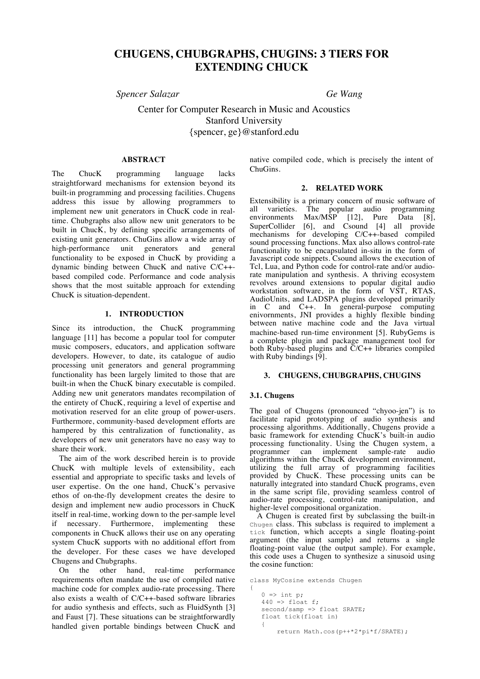# **CHUGENS, CHUBGRAPHS, CHUGINS: 3 TIERS FOR EXTENDING CHUCK**

*Spencer Salazar Ge Wang*

Center for Computer Research in Music and Acoustics Stanford University {spencer, ge}@stanford.edu

## **ABSTRACT**

The ChucK programming language lacks straightforward mechanisms for extension beyond its built-in programming and processing facilities. Chugens address this issue by allowing programmers to implement new unit generators in ChucK code in realtime. Chubgraphs also allow new unit generators to be built in ChucK, by defining specific arrangements of existing unit generators. ChuGins allow a wide array of high-performance unit generators and general functionality to be exposed in ChucK by providing a dynamic binding between ChucK and native C/C++ based compiled code. Performance and code analysis shows that the most suitable approach for extending ChucK is situation-dependent.

## **1. INTRODUCTION**

Since its introduction, the ChucK programming language [11] has become a popular tool for computer music composers, educators, and application software developers. However, to date, its catalogue of audio processing unit generators and general programming functionality has been largely limited to those that are built-in when the ChucK binary executable is compiled. Adding new unit generators mandates recompilation of the entirety of ChucK, requiring a level of expertise and motivation reserved for an elite group of power-users. Furthermore, community-based development efforts are hampered by this centralization of functionality, as developers of new unit generators have no easy way to share their work.

The aim of the work described herein is to provide ChucK with multiple levels of extensibility, each essential and appropriate to specific tasks and levels of user expertise. On the one hand, ChucK's pervasive ethos of on-the-fly development creates the desire to design and implement new audio processors in ChucK itself in real-time, working down to the per-sample level if necessary. Furthermore, implementing these components in ChucK allows their use on any operating system ChucK supports with no additional effort from the developer. For these cases we have developed Chugens and Chubgraphs.

On the other hand, real-time performance requirements often mandate the use of compiled native machine code for complex audio-rate processing. There also exists a wealth of C/C++-based software libraries for audio synthesis and effects, such as FluidSynth [3] and Faust [7]. These situations can be straightforwardly handled given portable bindings between ChucK and native compiled code, which is precisely the intent of ChuGins.

#### **2. RELATED WORK**

Extensibility is a primary concern of music software of all varieties. The popular audio programming<br>environments Max/MSP [12]. Pure Data [8].  $[12]$ , Pure SuperCollider [6], and Csound [4] all provide mechanisms for developing C/C++-based compiled sound processing functions. Max also allows control-rate functionality to be encapsulated in-situ in the form of Javascript code snippets. Csound allows the execution of Tcl, Lua, and Python code for control-rate and/or audiorate manipulation and synthesis. A thriving ecosystem revolves around extensions to popular digital audio workstation software, in the form of VST, RTAS, AudioUnits, and LADSPA plugins developed primarily in C and C++. In general-purpose computing enivornments, JNI provides a highly flexible binding between native machine code and the Java virtual machine-based run-time environment [5]. RubyGems is a complete plugin and package management tool for both Ruby-based plugins and  $\ddot{C}/C++$  libraries compiled with Ruby bindings [9].

## **3. CHUGENS, CHUBGRAPHS, CHUGINS**

#### **3.1. Chugens**

The goal of Chugens (pronounced "chyoo-jen") is to facilitate rapid prototyping of audio synthesis and processing algorithms. Additionally, Chugens provide a basic framework for extending ChucK's built-in audio processing functionality. Using the Chugen system, a programmer can implement sample-rate audio can implement sample-rate audio algorithms within the ChucK development environment, utilizing the full array of programming facilities provided by ChucK. These processing units can be naturally integrated into standard ChucK programs, even in the same script file, providing seamless control of audio-rate processing, control-rate manipulation, and higher-level compositional organization.

A Chugen is created first by subclassing the built-in Chugen class. This subclass is required to implement a tick function, which accepts a single floating-point argument (the input sample) and returns a single floating-point value (the output sample). For example, this code uses a Chugen to synthesize a sinusoid using the cosine function:

```
class MyCosine extends Chugen
{
   0 \Rightarrow int p;
   440 \Rightarrow float f;
   second/samp => float SRATE;
    float tick(float in)
    {
         return Math.cos(p++*2*pi*f/SRATE);
```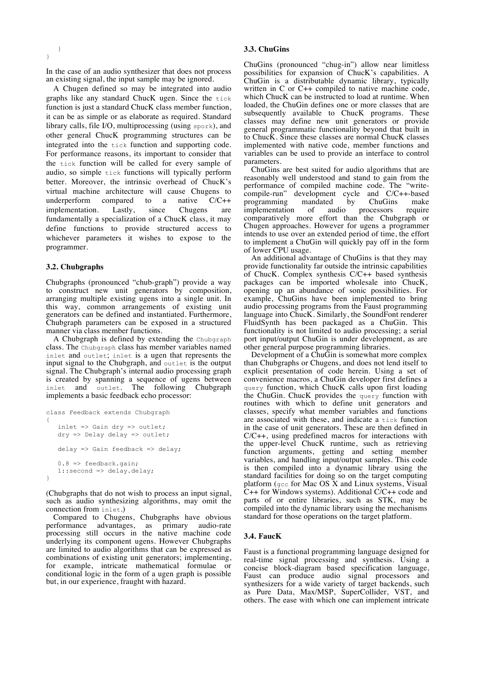In the case of an audio synthesizer that does not process an existing signal, the input sample may be ignored.

A Chugen defined so may be integrated into audio graphs like any standard ChucK ugen. Since the tick function is just a standard ChucK class member function, it can be as simple or as elaborate as required. Standard library calls, file I/O, multiprocessing (using spork), and other general ChucK programming structures can be integrated into the tick function and supporting code. For performance reasons, its important to consider that the tick function will be called for every sample of audio, so simple tick functions will typically perform better. Moreover, the intrinsic overhead of ChucK's virtual machine architecture will cause Chugens to underperform compared to a native C/C++ implementation. Lastly, since Chugens are fundamentally a specialization of a ChucK class, it may define functions to provide structured access to whichever parameters it wishes to expose to the programmer.

## **3.2. Chubgraphs**

Chubgraphs (pronounced "chub-graph") provide a way to construct new unit generators by composition, arranging multiple existing ugens into a single unit. In this way, common arrangements of existing unit generators can be defined and instantiated. Furthermore, Chubgraph parameters can be exposed in a structured manner via class member functions.

A Chubgraph is defined by extending the Chubgraph class. The Chubgraph class has member variables named inlet and outlet; inlet is a ugen that represents the input signal to the Chubgraph, and outlet is the output signal. The Chubgraph's internal audio processing graph is created by spanning a sequence of ugens between inlet and outlet. The following Chubgraph implements a basic feedback echo processor:

```
class Feedback extends Chubgraph
{
    inlet => Gain dry => outlet;
   dry \Rightarrow Delay delay => outlet;
   delay => Gain feedback => delay;
   0.8 => feedback.gain;
   1::second => delay.delay;
}
```
(Chubgraphs that do not wish to process an input signal, such as audio synthesizing algorithms, may omit the connection from inlet.)

Compared to Chugens, Chubgraphs have obvious performance advantages, as primary audio-rate processing still occurs in the native machine code underlying its component ugens. However Chubgraphs are limited to audio algorithms that can be expressed as combinations of existing unit generators; implementing, for example, intricate mathematical formulae or conditional logic in the form of a ugen graph is possible but, in our experience, fraught with hazard.

#### **3.3. ChuGins**

ChuGins (pronounced "chug-in") allow near limitless possibilities for expansion of ChucK's capabilities. A ChuGin is a distributable dynamic library, typically written in C or C++ compiled to native machine code, which ChucK can be instructed to load at runtime. When loaded, the ChuGin defines one or more classes that are subsequently available to ChucK programs. These classes may define new unit generators or provide general programmatic functionality beyond that built in to ChucK. Since these classes are normal ChucK classes implemented with native code, member functions and variables can be used to provide an interface to control parameters.

ChuGins are best suited for audio algorithms that are reasonably well understood and stand to gain from the performance of compiled machine code. The "writecompile-run" development cycle and C/C++-based programming mandated by ChuGins make<br>implementation of audio processors require implementation of audio processors require comparatively more effort than the Chubgraph or Chugen approaches. However for ugens a programmer intends to use over an extended period of time, the effort to implement a ChuGin will quickly pay off in the form of lower CPU usage.

An additional advantage of ChuGins is that they may provide functionality far outside the intrinsic capabilities of ChucK. Complex synthesis C/C++ based synthesis packages can be imported wholesale into ChucK, opening up an abundance of sonic possibilities. For example, ChuGins have been implemented to bring audio processing programs from the Faust programming language into ChucK. Similarly, the SoundFont renderer FluidSynth has been packaged as a ChuGin. This functionality is not limited to audio processing; a serial port input/output ChuGin is under development, as are other general purpose programming libraries.

Development of a ChuGin is somewhat more complex than Chubgraphs or Chugens, and does not lend itself to explicit presentation of code herein. Using a set of convenience macros, a ChuGin developer first defines a query function, which ChucK calls upon first loading the ChuGin. ChucK provides the query function with routines with which to define unit generators and classes, specify what member variables and functions are associated with these, and indicate a tick function in the case of unit generators. These are then defined in C/C++, using predefined macros for interactions with the upper-level ChucK runtime, such as retrieving function arguments, getting and setting member variables, and handling input/output samples. This code is then compiled into a dynamic library using the standard facilities for doing so on the target computing platform ( $\text{gcc}$  for Mac OS  $\bar{X}$  and Linux systems, Visual  $C_{++}$  for Windows systems). Additional  $C/C_{++}$  code and parts of or entire libraries, such as STK, may be compiled into the dynamic library using the mechanisms standard for those operations on the target platform.

#### **3.4. FaucK**

Faust is a functional programming language designed for real-time signal processing and synthesis. Using a concise block-diagram based specification language, Faust can produce audio signal processors and synthesizers for a wide variety of target backends, such as Pure Data, Max/MSP, SuperCollider, VST, and others. The ease with which one can implement intricate

}

}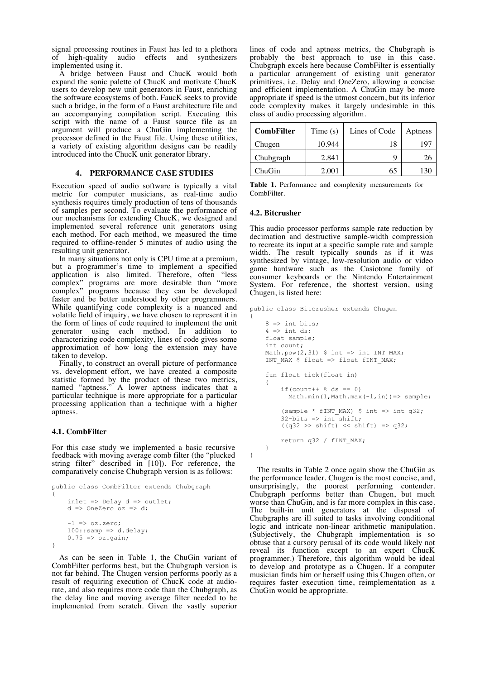signal processing routines in Faust has led to a plethora<br>of high-quality audio effects and synthesizers audio effects and synthesizers implemented using it.

A bridge between Faust and ChucK would both expand the sonic palette of ChucK and motivate ChucK users to develop new unit generators in Faust, enriching the software ecosystems of both. FaucK seeks to provide such a bridge, in the form of a Faust architecture file and an accompanying compilation script. Executing this script with the name of a Faust source file as an argument will produce a ChuGin implementing the processor defined in the Faust file. Using these utilities, a variety of existing algorithm designs can be readily introduced into the ChucK unit generator library.

#### **4. PERFORMANCE CASE STUDIES**

Execution speed of audio software is typically a vital metric for computer musicians, as real-time audio synthesis requires timely production of tens of thousands of samples per second. To evaluate the performance of our mechanisms for extending ChucK, we designed and implemented several reference unit generators using each method. For each method, we measured the time required to offline-render 5 minutes of audio using the resulting unit generator.

In many situations not only is CPU time at a premium, but a programmer's time to implement a specified application is also limited. Therefore, often "less complex" programs are more desirable than "more complex" programs because they can be developed faster and be better understood by other programmers. While quantifying code complexity is a nuanced and volatile field of inquiry, we have chosen to represent it in the form of lines of code required to implement the unit generator using each method. In addition to characterizing code complexity, lines of code gives some approximation of how long the extension may have taken to develop.

Finally, to construct an overall picture of performance vs. development effort, we have created a composite statistic formed by the product of these two metrics, named "aptness." A lower aptness indicates that a particular technique is more appropriate for a particular processing application than a technique with a higher aptness.

## **4.1. CombFilter**

For this case study we implemented a basic recursive feedback with moving average comb filter (the "plucked string filter" described in [10]). For reference, the comparatively concise Chubgraph version is as follows:

```
public class CombFilter extends Chubgraph
{
     inlet \Rightarrow Delay d \Rightarrow outlet;
     d \Rightarrow OneZero oz => d;
     -1 \Rightarrow oz.zero:
     100::sampling \Rightarrow d.delay;0.75 \Rightarrow \text{oz.gain};}
```
As can be seen in Table 1, the ChuGin variant of CombFilter performs best, but the Chubgraph version is not far behind. The Chugen version performs poorly as a result of requiring execution of ChucK code at audiorate, and also requires more code than the Chubgraph, as the delay line and moving average filter needed to be implemented from scratch. Given the vastly superior

lines of code and aptness metrics, the Chubgraph is probably the best approach to use in this case. Chubgraph excels here because CombFilter is essentially a particular arrangement of existing unit generator primitives, i.e. Delay and OneZero, allowing a concise and efficient implementation. A ChuGin may be more appropriate if speed is the utmost concern, but its inferior code complexity makes it largely undesirable in this class of audio processing algorithm.

| <b>CombFilter</b> | Time $(s)$ | Lines of Code | Aptness |
|-------------------|------------|---------------|---------|
| Chugen            | 10.944     | 18            | -197    |
| Chubgraph         | 2.841      | Q             |         |
| ChuGin            | 2.001      | 65            |         |

**Table 1.** Performance and complexity measurements for CombFilter.

#### **4.2. Bitcrusher**

This audio processor performs sample rate reduction by decimation and destructive sample-width compression to recreate its input at a specific sample rate and sample width. The result typically sounds as if it was synthesized by vintage, low-resolution audio or video game hardware such as the Casiotone family of consumer keyboards or the Nintendo Entertainment System. For reference, the shortest version, using Chugen, is listed here:

```
public class Bitcrusher extends Chugen
{
    8 \Rightarrow int bits;
    4 \Rightarrow int ds;
     float sample;
     int count;
    Math.pow(2,31) $int => int INT MAX;INT MAX $ float => float fINT MAX;
     fun float tick(float in)
     {
         if(count++ % ds == 0)
           Math.min(1, Math.max(-1, in)) => sample;
         (sample * fINT MAX) $ int => int q32;
         32-bits => int shift;
         ((q32 \gt) \text{shift}) \lt < \text{shift}) \Rightarrow q32; return q32 / fINT_MAX;
     }
}
```
The results in Table 2 once again show the ChuGin as the performance leader. Chugen is the most concise, and, unsurprisingly, the poorest performing contender. Chubgraph performs better than Chugen, but much worse than ChuGin, and is far more complex in this case. The built-in unit generators at the disposal of Chubgraphs are ill suited to tasks involving conditional logic and intricate non-linear arithmetic manipulation. (Subjectively, the Chubgraph implementation is so obtuse that a cursory perusal of its code would likely not reveal its function except to an expert ChucK programmer.) Therefore, this algorithm would be ideal to develop and prototype as a Chugen. If a computer musician finds him or herself using this Chugen often, or requires faster execution time, reimplementation as a ChuGin would be appropriate.